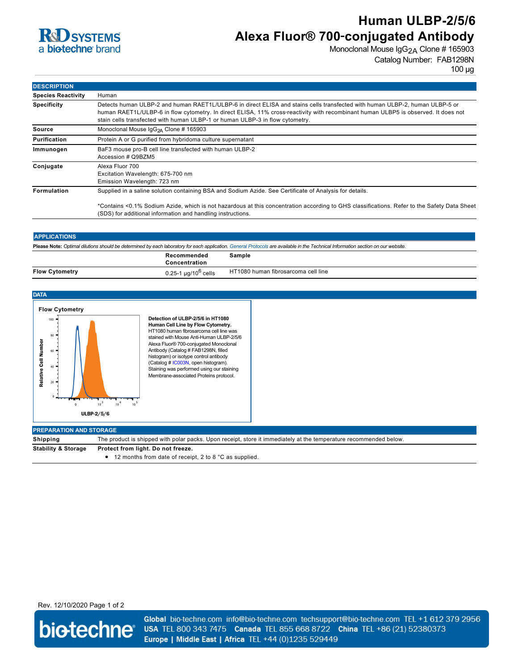

# **Human ULBP-2/5/6 Alexa Fluor® 700**‑**conjugated Antibody**

Monoclonal Mouse IgG<sub>2A</sub> Clone # 165903

Catalog Number: FAB1298N

100 µg

| <b>DESCRIPTION</b>        |                                                                                                                                                                                                                                                                                                                                                    |  |  |
|---------------------------|----------------------------------------------------------------------------------------------------------------------------------------------------------------------------------------------------------------------------------------------------------------------------------------------------------------------------------------------------|--|--|
| <b>Species Reactivity</b> | Human                                                                                                                                                                                                                                                                                                                                              |  |  |
| <b>Specificity</b>        | Detects human ULBP-2 and human RAET1L/ULBP-6 in direct ELISA and stains cells transfected with human ULBP-2, human ULBP-5 or<br>human RAET1L/ULBP-6 in flow cytometry. In direct ELISA, 11% cross-reactivity with recombinant human ULBP5 is observed. It does not<br>stain cells transfected with human ULBP-1 or human ULBP-3 in flow cytometry. |  |  |
| <b>Source</b>             | Monoclonal Mouse IgG <sub>2A</sub> Clone # 165903                                                                                                                                                                                                                                                                                                  |  |  |
| Purification              | Protein A or G purified from hybridoma culture supernatant                                                                                                                                                                                                                                                                                         |  |  |
| Immunogen                 | BaF3 mouse pro-B cell line transfected with human ULBP-2<br>Accession # Q9BZM5                                                                                                                                                                                                                                                                     |  |  |
| Conjugate                 | Alexa Fluor 700<br>Excitation Wavelength: 675-700 nm<br>Emission Wavelength: 723 nm                                                                                                                                                                                                                                                                |  |  |
| Formulation               | Supplied in a saline solution containing BSA and Sodium Azide. See Certificate of Analysis for details.                                                                                                                                                                                                                                            |  |  |
|                           | *Contains <0.1% Sodium Azide, which is not hazardous at this concentration according to GHS classifications. Refer to the Safety Data Sheet<br>(SDS) for additional information and handling instructions.                                                                                                                                         |  |  |

## **APPLICATIONS**

**Please Note:** *Optimal dilutions should be determined by each laboratory for each application. [General Protocols](http://www.rndsystems.com/resources/protocols-troubleshooting-guides) are available in the Technical Information section on our website.*

|                       | Recommended<br>Concentration                  | Sample                              |
|-----------------------|-----------------------------------------------|-------------------------------------|
| <b>Flow Cytometry</b> | , ua/10 <sup>o</sup><br>$0.25 - 1$<br>' cells | HT1080 human fibrosarcoma cell line |



Rev. 12/10/2020 Page 1 of 2



Global bio-techne.com info@bio-techne.com techsupport@bio-techne.com TEL +1 612 379 2956 USA TEL 800 343 7475 Canada TEL 855 668 8722 China TEL +86 (21) 52380373 Europe | Middle East | Africa TEL +44 (0)1235 529449